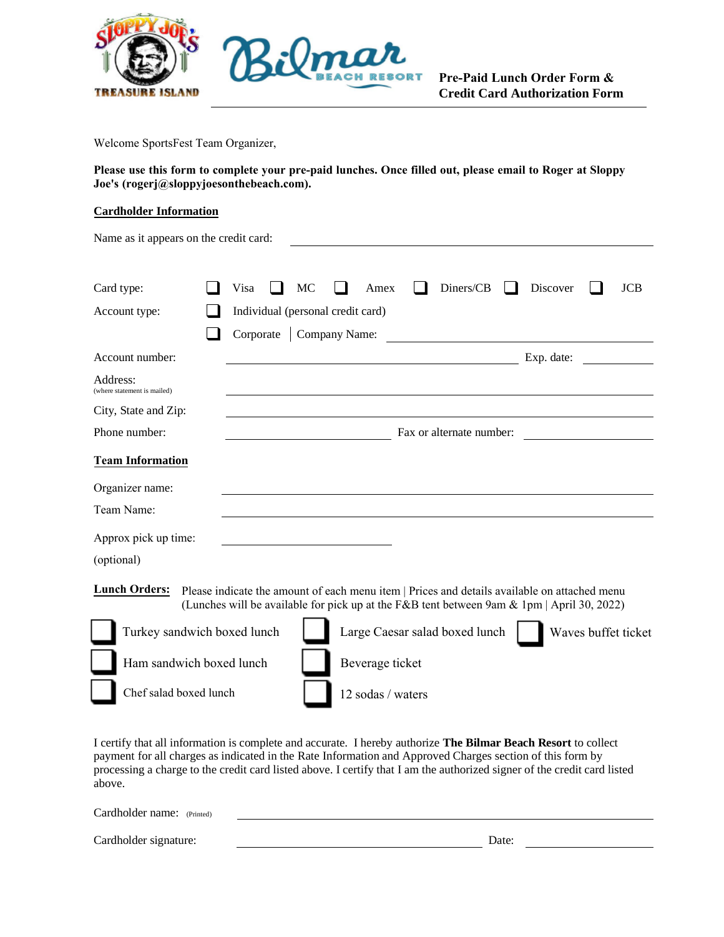

**Pre-Paid Lunch Order Form & Credit Card Authorization Form** 

Welcome SportsFest Team Organizer,

**Please use this form to complete your pre-paid lunches. Once filled out, please email to Roger at Sloppy Joe's (rogerj@sloppyjoesonthebeach.com).** 

mar

CH RESORT

#### **Cardholder Information**

| Name as it appears on the credit card:                                                                                                                                                                                      |  |      |    |                                   |      |  |                                |  |  |                                                                                                                                                                                            |  |            |
|-----------------------------------------------------------------------------------------------------------------------------------------------------------------------------------------------------------------------------|--|------|----|-----------------------------------|------|--|--------------------------------|--|--|--------------------------------------------------------------------------------------------------------------------------------------------------------------------------------------------|--|------------|
|                                                                                                                                                                                                                             |  |      |    |                                   |      |  |                                |  |  |                                                                                                                                                                                            |  |            |
| Card type:                                                                                                                                                                                                                  |  | Visa | MC |                                   | Amex |  | Diners/CB                      |  |  | Discover                                                                                                                                                                                   |  | <b>JCB</b> |
| Account type:                                                                                                                                                                                                               |  |      |    | Individual (personal credit card) |      |  |                                |  |  |                                                                                                                                                                                            |  |            |
|                                                                                                                                                                                                                             |  |      |    | Corporate   Company Name:         |      |  |                                |  |  |                                                                                                                                                                                            |  |            |
| Account number:                                                                                                                                                                                                             |  |      |    |                                   |      |  |                                |  |  | Exp. date:                                                                                                                                                                                 |  |            |
| Address:<br>(where statement is mailed)                                                                                                                                                                                     |  |      |    |                                   |      |  |                                |  |  |                                                                                                                                                                                            |  |            |
| City, State and Zip:                                                                                                                                                                                                        |  |      |    |                                   |      |  |                                |  |  |                                                                                                                                                                                            |  |            |
| Phone number:                                                                                                                                                                                                               |  |      |    |                                   |      |  | Fax or alternate number:       |  |  |                                                                                                                                                                                            |  |            |
| <b>Team Information</b>                                                                                                                                                                                                     |  |      |    |                                   |      |  |                                |  |  |                                                                                                                                                                                            |  |            |
| Organizer name:                                                                                                                                                                                                             |  |      |    |                                   |      |  |                                |  |  |                                                                                                                                                                                            |  |            |
| Team Name:                                                                                                                                                                                                                  |  |      |    |                                   |      |  |                                |  |  |                                                                                                                                                                                            |  |            |
| Approx pick up time:                                                                                                                                                                                                        |  |      |    |                                   |      |  |                                |  |  |                                                                                                                                                                                            |  |            |
| (optional)                                                                                                                                                                                                                  |  |      |    |                                   |      |  |                                |  |  |                                                                                                                                                                                            |  |            |
| <b>Lunch Orders:</b>                                                                                                                                                                                                        |  |      |    |                                   |      |  |                                |  |  | Please indicate the amount of each menu item   Prices and details available on attached menu<br>(Lunches will be available for pick up at the F&B tent between 9am & 1pm   April 30, 2022) |  |            |
| Turkey sandwich boxed lunch                                                                                                                                                                                                 |  |      |    |                                   |      |  | Large Caesar salad boxed lunch |  |  | Waves buffet ticket                                                                                                                                                                        |  |            |
| Ham sandwich boxed lunch                                                                                                                                                                                                    |  |      |    | Beverage ticket                   |      |  |                                |  |  |                                                                                                                                                                                            |  |            |
| Chef salad boxed lunch                                                                                                                                                                                                      |  |      |    | 12 sodas / waters                 |      |  |                                |  |  |                                                                                                                                                                                            |  |            |
| I certify that all information is complete and accurate. I hereby authorize The Bilmar Beach Resort to collect<br>nayment for all charges as indicated in the Rate Information and Approved Charges section of this form by |  |      |    |                                   |      |  |                                |  |  |                                                                                                                                                                                            |  |            |

payment for all charges as indicated in the Rate Information and Approved Charges section of this form by processing a charge to the credit card listed above. I certify that I am the authorized signer of the credit card listed above.

| Cardholder name: (Printed) |       |
|----------------------------|-------|
| Cardholder signature:      | Date: |